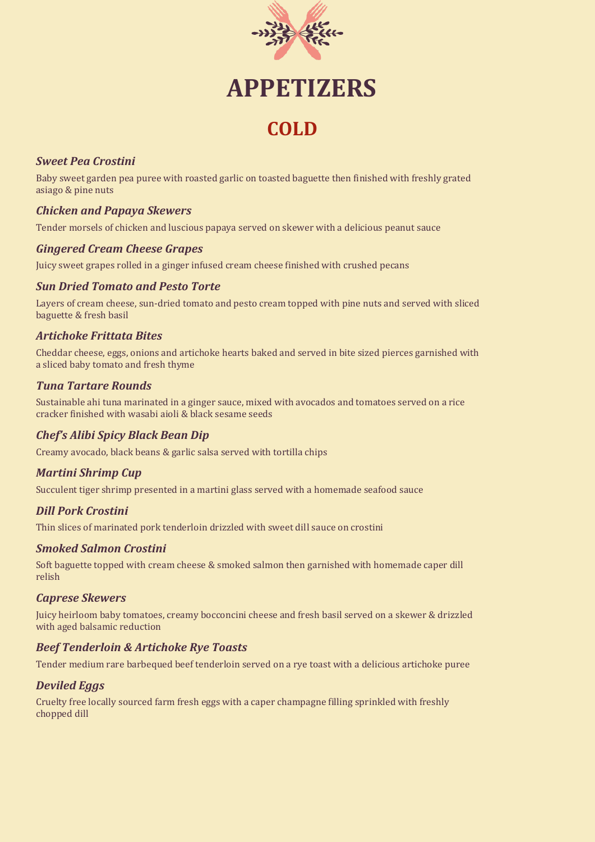

# **APPETIZERS**

# **COLD**

#### *Sweet Pea Crostini*

Baby sweet garden pea puree with roasted garlic on toasted baguette then finished with freshly grated asiago & pine nuts

#### *Chicken and Papaya Skewers*

Tender morsels of chicken and luscious papaya served on skewer with a delicious peanut sauce

#### *Gingered Cream Cheese Grapes*

Juicy sweet grapes rolled in a ginger infused cream cheese finished with crushed pecans

#### *Sun Dried Tomato and Pesto Torte*

Layers of cream cheese, sun-dried tomato and pesto cream topped with pine nuts and served with sliced baguette & fresh basil

## *Artichoke Frittata Bites*

Cheddar cheese, eggs, onions and artichoke hearts baked and served in bite sized pierces garnished with a sliced baby tomato and fresh thyme

#### *Tuna Tartare Rounds*

Sustainable ahi tuna marinated in a ginger sauce, mixed with avocados and tomatoes served on a rice cracker finished with wasabi aioli & black sesame seeds

## *Chef's Alibi Spicy Black Bean Dip*

Creamy avocado, black beans & garlic salsa served with tortilla chips

#### *Martini Shrimp Cup*

Succulent tiger shrimp presented in a martini glass served with a homemade seafood sauce

## *Dill Pork Crostini*

Thin slices of marinated pork tenderloin drizzled with sweet dill sauce on crostini

#### *Smoked Salmon Crostini*

Soft baguette topped with cream cheese & smoked salmon then garnished with homemade caper dill relish

#### *Caprese Skewers*

Juicy heirloom baby tomatoes, creamy bocconcini cheese and fresh basil served on a skewer & drizzled with aged balsamic reduction

#### *Beef Tenderloin & Artichoke Rye Toasts*

Tender medium rare barbequed beef tenderloin served on a rye toast with a delicious artichoke puree

#### *Deviled Eggs*

Cruelty free locally sourced farm fresh eggs with a caper champagne filling sprinkled with freshly chopped dill